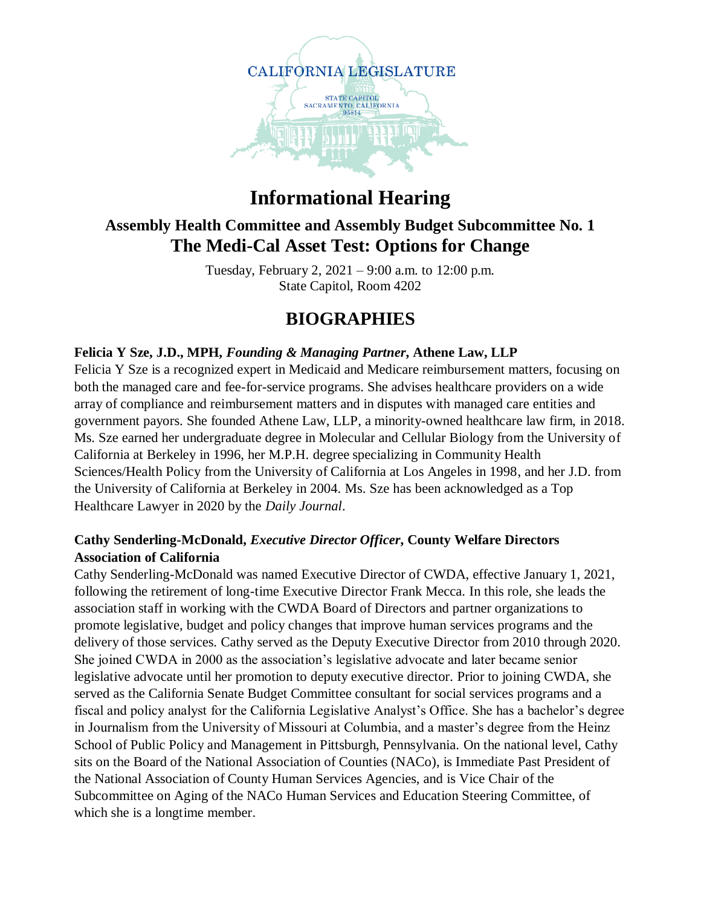

# **Informational Hearing**

### **Assembly Health Committee and Assembly Budget Subcommittee No. 1 The Medi-Cal Asset Test: Options for Change**

Tuesday, February 2, 2021 – 9:00 a.m. to 12:00 p.m. State Capitol, Room 4202

## **BIOGRAPHIES**

#### **Felicia Y Sze, J.D., MPH,** *Founding & Managing Partner***, Athene Law, LLP**

Felicia Y Sze is a recognized expert in Medicaid and Medicare reimbursement matters, focusing on both the managed care and fee-for-service programs. She advises healthcare providers on a wide array of compliance and reimbursement matters and in disputes with managed care entities and government payors. She founded Athene Law, LLP, a minority-owned healthcare law firm, in 2018. Ms. Sze earned her undergraduate degree in Molecular and Cellular Biology from the University of California at Berkeley in 1996, her M.P.H. degree specializing in Community Health Sciences/Health Policy from the University of California at Los Angeles in 1998, and her J.D. from the University of California at Berkeley in 2004. Ms. Sze has been acknowledged as a Top Healthcare Lawyer in 2020 by the *Daily Journal*.

#### **Cathy Senderling-McDonald,** *Executive Director Officer***, County Welfare Directors Association of California**

Cathy Senderling-McDonald was named Executive Director of CWDA, effective January 1, 2021, following the retirement of long-time Executive Director Frank Mecca. In this role, she leads the association staff in working with the CWDA Board of Directors and partner organizations to promote legislative, budget and policy changes that improve human services programs and the delivery of those services. Cathy served as the Deputy Executive Director from 2010 through 2020. She joined CWDA in 2000 as the association's legislative advocate and later became senior legislative advocate until her promotion to deputy executive director. Prior to joining CWDA, she served as the California Senate Budget Committee consultant for social services programs and a fiscal and policy analyst for the California Legislative Analyst's Office. She has a bachelor's degree in Journalism from the University of Missouri at Columbia, and a master's degree from the Heinz School of Public Policy and Management in Pittsburgh, Pennsylvania. On the national level, Cathy sits on the Board of the National Association of Counties (NACo), is Immediate Past President of the National Association of County Human Services Agencies, and is Vice Chair of the Subcommittee on Aging of the NACo Human Services and Education Steering Committee, of which she is a longtime member.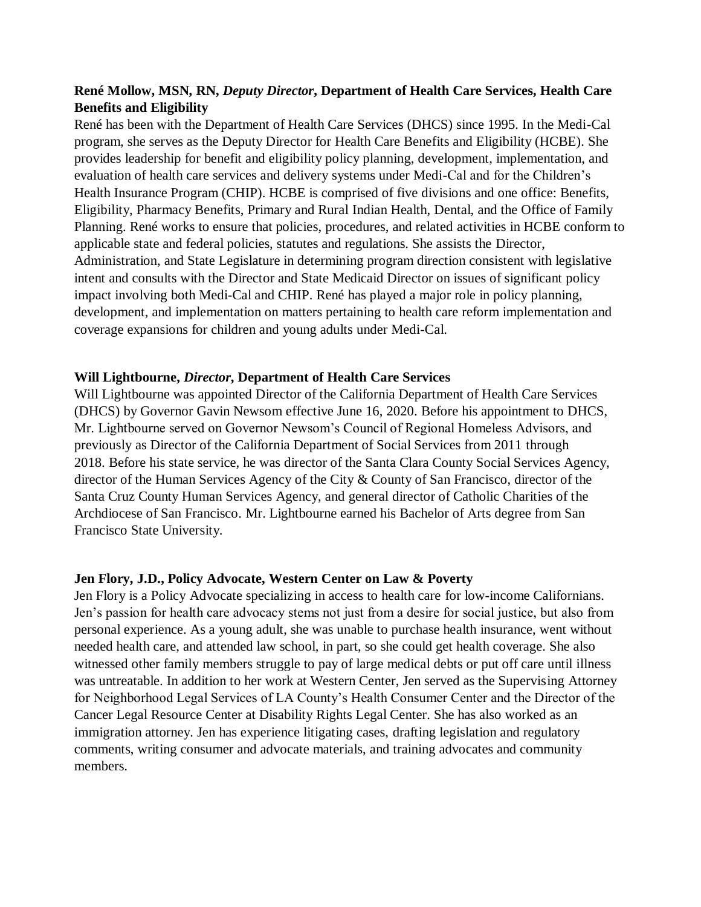#### **René Mollow, MSN, RN,** *Deputy Director***, Department of Health Care Services, Health Care Benefits and Eligibility**

René has been with the Department of Health Care Services (DHCS) since 1995. In the Medi-Cal program, she serves as the Deputy Director for Health Care Benefits and Eligibility (HCBE). She provides leadership for benefit and eligibility policy planning, development, implementation, and evaluation of health care services and delivery systems under Medi-Cal and for the Children's Health Insurance Program (CHIP). HCBE is comprised of five divisions and one office: Benefits, Eligibility, Pharmacy Benefits, Primary and Rural Indian Health, Dental, and the Office of Family Planning. René works to ensure that policies, procedures, and related activities in HCBE conform to applicable state and federal policies, statutes and regulations. She assists the Director, Administration, and State Legislature in determining program direction consistent with legislative intent and consults with the Director and State Medicaid Director on issues of significant policy impact involving both Medi-Cal and CHIP. René has played a major role in policy planning, development, and implementation on matters pertaining to health care reform implementation and coverage expansions for children and young adults under Medi-Cal.

#### **Will Lightbourne,** *Director***, Department of Health Care Services**

Will Lightbourne was appointed Director of the California Department of Health Care Services (DHCS) by Governor Gavin Newsom effective June 16, 2020. Before his appointment to DHCS, Mr. Lightbourne served on Governor Newsom's Council of Regional Homeless Advisors, and previously as Director of the California Department of Social Services from 2011 through 2018. Before his state service, he was director of the Santa Clara County Social Services Agency, director of the Human Services Agency of the City & County of San Francisco, director of the Santa Cruz County Human Services Agency, and general director of Catholic Charities of the Archdiocese of San Francisco. Mr. Lightbourne earned his Bachelor of Arts degree from San Francisco State University.

#### **Jen Flory, J.D., Policy Advocate, Western Center on Law & Poverty**

Jen Flory is a Policy Advocate specializing in access to health care for low-income Californians. Jen's passion for health care advocacy stems not just from a desire for social justice, but also from personal experience. As a young adult, she was unable to purchase health insurance, went without needed health care, and attended law school, in part, so she could get health coverage. She also witnessed other family members struggle to pay of large medical debts or put off care until illness was untreatable. In addition to her work at Western Center, Jen served as the Supervising Attorney for Neighborhood Legal Services of LA County's Health Consumer Center and the Director of the Cancer Legal Resource Center at Disability Rights Legal Center. She has also worked as an immigration attorney. Jen has experience litigating cases, drafting legislation and regulatory comments, writing consumer and advocate materials, and training advocates and community members.